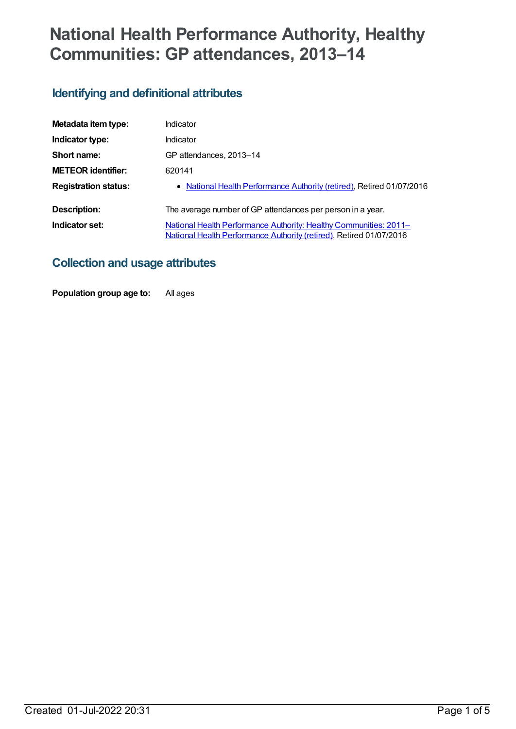# **National Health Performance Authority, Healthy Communities: GP attendances, 2013–14**

# **Identifying and definitional attributes**

| Metadata item type:         | Indicator                                                                                                                                |
|-----------------------------|------------------------------------------------------------------------------------------------------------------------------------------|
| Indicator type:             | Indicator                                                                                                                                |
| Short name:                 | GP attendances, 2013-14                                                                                                                  |
| <b>METEOR identifier:</b>   | 620141                                                                                                                                   |
| <b>Registration status:</b> | • National Health Performance Authority (retired), Retired 01/07/2016                                                                    |
| Description:                | The average number of GP attendances per person in a year.                                                                               |
| Indicator set:              | National Health Performance Authority: Healthy Communities: 2011-<br>National Health Performance Authority (retired), Retired 01/07/2016 |

# **Collection and usage attributes**

**Population group age to:** All ages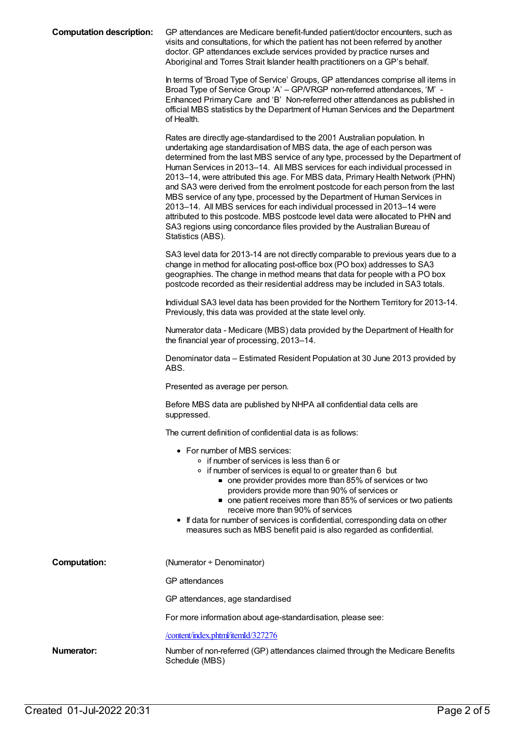| <b>Computation description:</b> | GP attendances are Medicare benefit-funded patient/doctor encounters, such as<br>visits and consultations, for which the patient has not been referred by another<br>doctor. GP attendances exclude services provided by practice nurses and<br>Aboriginal and Torres Strait Islander health practitioners on a GP's behalf.                                                                                                                                                                                                                                                                                                                                                                                                                                                                                                           |
|---------------------------------|----------------------------------------------------------------------------------------------------------------------------------------------------------------------------------------------------------------------------------------------------------------------------------------------------------------------------------------------------------------------------------------------------------------------------------------------------------------------------------------------------------------------------------------------------------------------------------------------------------------------------------------------------------------------------------------------------------------------------------------------------------------------------------------------------------------------------------------|
|                                 | In terms of 'Broad Type of Service' Groups, GP attendances comprise all items in<br>Broad Type of Service Group 'A' - GP/VRGP non-referred attendances, 'M' -<br>Enhanced Primary Care and 'B' Non-referred other attendances as published in<br>official MBS statistics by the Department of Human Services and the Department<br>of Health.                                                                                                                                                                                                                                                                                                                                                                                                                                                                                          |
|                                 | Rates are directly age-standardised to the 2001 Australian population. In<br>undertaking age standardisation of MBS data, the age of each person was<br>determined from the last MBS service of any type, processed by the Department of<br>Human Services in 2013-14. All MBS services for each individual processed in<br>2013-14, were attributed this age. For MBS data, Primary Health Network (PHN)<br>and SA3 were derived from the enrolment postcode for each person from the last<br>MBS service of any type, processed by the Department of Human Services in<br>2013-14. All MBS services for each individual processed in 2013-14 were<br>attributed to this postcode. MBS postcode level data were allocated to PHN and<br>SA3 regions using concordance files provided by the Australian Bureau of<br>Statistics (ABS). |
|                                 | SA3 level data for 2013-14 are not directly comparable to previous years due to a<br>change in method for allocating post-office box (PO box) addresses to SA3<br>geographies. The change in method means that data for people with a PO box<br>postcode recorded as their residential address may be included in SA3 totals.                                                                                                                                                                                                                                                                                                                                                                                                                                                                                                          |
|                                 | Individual SA3 level data has been provided for the Northern Territory for 2013-14.<br>Previously, this data was provided at the state level only.                                                                                                                                                                                                                                                                                                                                                                                                                                                                                                                                                                                                                                                                                     |
|                                 | Numerator data - Medicare (MBS) data provided by the Department of Health for<br>the financial year of processing, 2013-14.                                                                                                                                                                                                                                                                                                                                                                                                                                                                                                                                                                                                                                                                                                            |
|                                 | Denominator data – Estimated Resident Population at 30 June 2013 provided by<br>ABS.                                                                                                                                                                                                                                                                                                                                                                                                                                                                                                                                                                                                                                                                                                                                                   |
|                                 | Presented as average per person.                                                                                                                                                                                                                                                                                                                                                                                                                                                                                                                                                                                                                                                                                                                                                                                                       |
|                                 | Before MBS data are published by NHPA all confidential data cells are<br>suppressed.                                                                                                                                                                                                                                                                                                                                                                                                                                                                                                                                                                                                                                                                                                                                                   |
|                                 | The current definition of confidential data is as follows:                                                                                                                                                                                                                                                                                                                                                                                                                                                                                                                                                                                                                                                                                                                                                                             |
|                                 | • For number of MBS services:<br>∘ if number of services is less than 6 or<br>• if number of services is equal to or greater than 6 but<br>• one provider provides more than 85% of services or two<br>providers provide more than 90% of services or<br>• one patient receives more than 85% of services or two patients<br>receive more than 90% of services<br>• If data for number of services is confidential, corresponding data on other<br>measures such as MBS benefit paid is also regarded as confidential.                                                                                                                                                                                                                                                                                                                 |
| <b>Computation:</b>             | (Numerator + Denominator)                                                                                                                                                                                                                                                                                                                                                                                                                                                                                                                                                                                                                                                                                                                                                                                                              |
|                                 | <b>GP</b> attendances                                                                                                                                                                                                                                                                                                                                                                                                                                                                                                                                                                                                                                                                                                                                                                                                                  |
|                                 | GP attendances, age standardised                                                                                                                                                                                                                                                                                                                                                                                                                                                                                                                                                                                                                                                                                                                                                                                                       |
|                                 | For more information about age-standardisation, please see:                                                                                                                                                                                                                                                                                                                                                                                                                                                                                                                                                                                                                                                                                                                                                                            |
|                                 | /content/index.phtml/itemId/327276                                                                                                                                                                                                                                                                                                                                                                                                                                                                                                                                                                                                                                                                                                                                                                                                     |
| Numerator:                      | Number of non-referred (GP) attendances claimed through the Medicare Benefits<br>Schedule (MBS)                                                                                                                                                                                                                                                                                                                                                                                                                                                                                                                                                                                                                                                                                                                                        |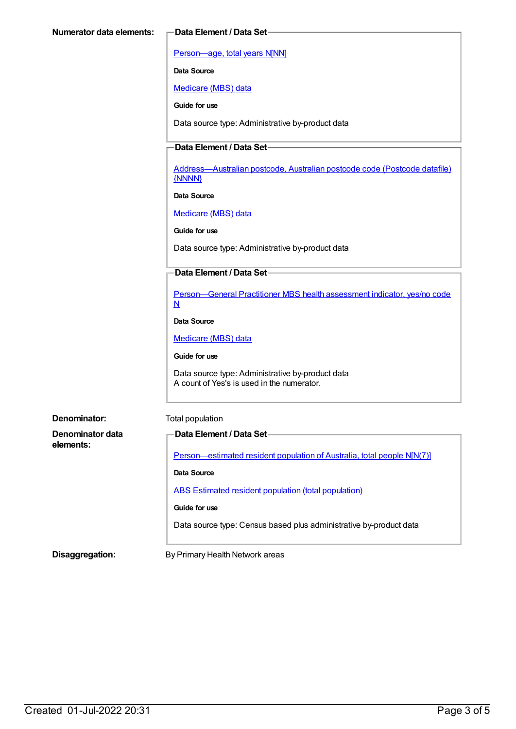[Person—age,](https://meteor.aihw.gov.au/content/303794) total years N[NN]

**Data Source**

[Medicare](https://meteor.aihw.gov.au/content/394305) (MBS) data

**Guide for use**

Data source type: Administrative by-product data

#### **Data Element / Data Set**

[Address—Australian](https://meteor.aihw.gov.au/content/429894) postcode, Australian postcode code (Postcode datafile) {NNNN}

**Data Source**

[Medicare](https://meteor.aihw.gov.au/content/394305) (MBS) data

**Guide for use**

Data source type: Administrative by-product data

#### **Data Element / Data Set**

[Person—General](https://meteor.aihw.gov.au/content/554986) Practitioner MBS health assessment indicator, yes/no code N

**Data Source**

[Medicare](https://meteor.aihw.gov.au/content/394305) (MBS) data

**Guide for use**

Data source type: Administrative by-product data A count of Yes's is used in the numerator.

| Denominator:                  | Total population                                                        |
|-------------------------------|-------------------------------------------------------------------------|
| Denominator data<br>elements: | <b>Data Element / Data Set-</b>                                         |
|                               | Person—estimated resident population of Australia, total people N[N(7)] |
|                               | Data Source                                                             |
|                               | <b>ABS Estimated resident population (total population)</b>             |
|                               | Guide for use                                                           |
|                               | Data source type: Census based plus administrative by-product data      |

**Disaggregation:** By Primary Health Network areas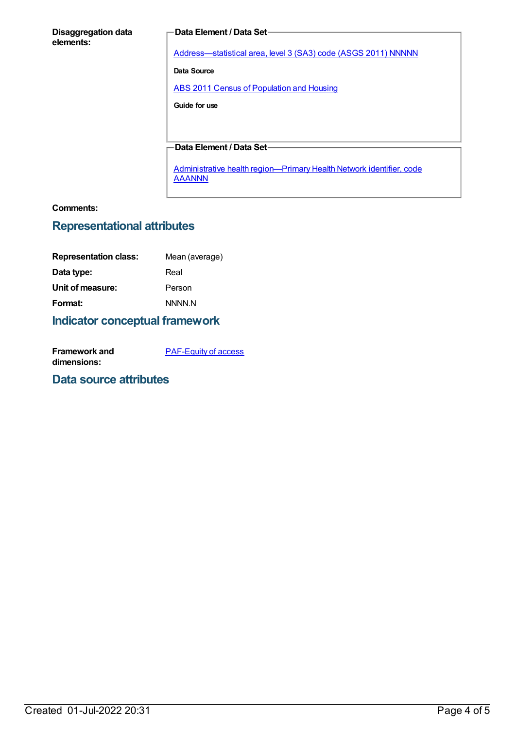#### **Disaggregation data elements:**

#### **Data Element / Data Set**

[Address—statistical](https://meteor.aihw.gov.au/content/457293) area, level 3 (SA3) code (ASGS 2011) NNNNN

**Data Source**

ABS 2011 Census of [Population](https://meteor.aihw.gov.au/content/481876) and Housing

**Guide for use**

#### **Data Element / Data Set**

Administrative health [region—Primary](https://meteor.aihw.gov.au/content/611088) Health Network identifier, code **AAANNN** 

#### **Comments:**

### **Representational attributes**

| <b>Representation class:</b> | Mean (average) |
|------------------------------|----------------|
| Data type:                   | Real           |
| Unit of measure:             | Person         |
| Format:                      | <b>NNNN N</b>  |
|                              |                |

## **Indicator conceptual framework**

| Framework and | <b>PAF-Equity of access</b> |
|---------------|-----------------------------|
| dimensions:   |                             |

#### **Data source attributes**